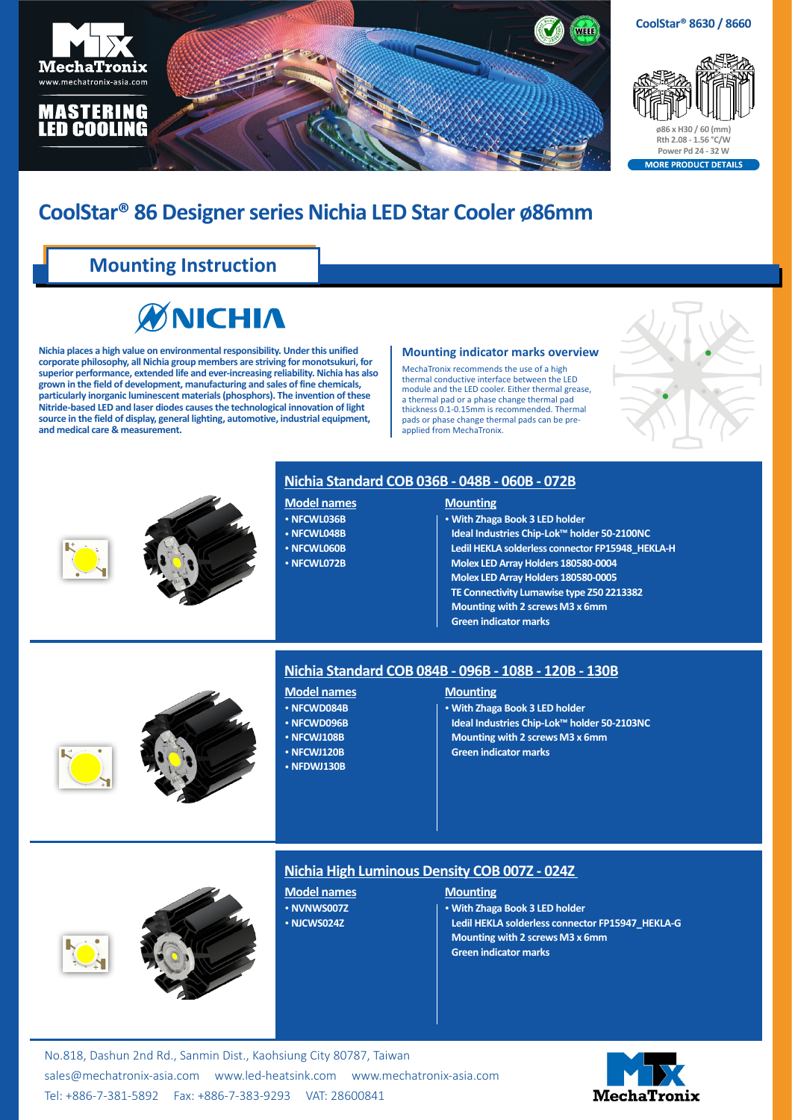



ORE PRODUCT DETAILS

# **CoolStar® 86 Designer series Nichia LED Star Cooler ø86mm**

# **Mounting Instruction**



**Nichia places a high value on environmental responsibility. Under this unified corporate philosophy, all Nichia group members are striving for monotsukuri, for superior performance, extended life and ever-increasing reliability. Nichia has also grown in the field of development, manufacturing and sales of fine chemicals, particularly inorganic luminescent materials (phosphors). The invention of these Nitride-based LED and laser diodes causes the technological innovation of light source in the field of display, general lighting, automotive, industrial equipment, and medical care & measurement.**

#### **Mounting indicator marks overview**

MechaTronix recommends the use of a high thermal conductive interface between the LED module and the LED cooler. Either thermal grease a thermal pad or a phase change thermal pad thickness 0.1-0.15mm is recommended. Thermal pads or phase change thermal pads can be preapplied from MechaTronix.





## **Nichia Standard COB 036B - 048B - 060B - 072B**

#### **Model names**

- • **NFCWL036B**
- • **NFCWL048B**
- • **NFCWL060B**
- • **NFCWL072B**

## **Mounting**

- • **With Zhaga Book 3 LED holder Ideal Industries Chip-Lok™ holder 50-2100NC**
- **Ledil HEKLA solderless connector FP15948\_HEKLA-H**
- **Molex LED Array Holders 180580-0004**
- **Molex LED Array Holders 180580-0005**
- **TE Connectivity Lumawise type Z50 2213382**
- **Mounting with 2 screwsM3 x 6mm**
- **Green indicator marks**





## **Nichia Standard COB 084B - 096B - 108B - 120B - 130B**

- **Model names**
- • **NFCWD084B**
- • **NFCWD096B**
- • **NFCWJ108B**
- • **NFCWJ120B**
- • **NFDWJ130B**

### **Mounting**

- • **With Zhaga Book 3 LED holder**
- **Ideal Industries Chip-Lok™ holder 50-2103NC**
- **Mounting with 2 screwsM3 x 6mm**
- **Green indicator marks**



## **Nichia High Luminous Density COB 007Z - 024Z**

**Model names** • **NVNWS007Z** • **NJCWS024Z**

### **Mounting**

• **With Zhaga Book 3 LED holder Ledil HEKLA solderless connector FP15947\_HEKLA-G Mounting with 2 screwsM3 x 6mm Green indicator marks**

No.818, Dashun 2nd Rd., Sanmin Dist., Kaohsiung City 80787, Taiwan [sales@mechatronix-asia.com](mailto:sales%40mechatronix-asia.com?subject=) [www.led-heatsink.com](http://www.led-heatsink.com) [www.mechatronix-asia.com](http://www.mechatronix-asia.com) Tel: +886-7-381-5892 Fax: +886-7-383-9293 VAT: 28600841